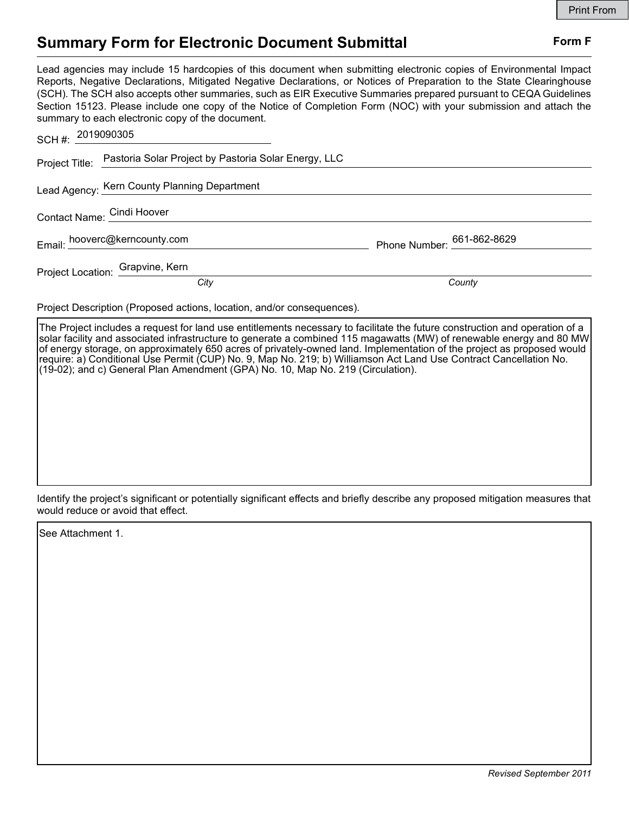## Summary Form for Electronic Document Submittal Form F

Lead agencies may include 15 hardcopies of this document when submitting electronic copies of Environmental Impact Reports, Negative Declarations, Mitigated Negative Declarations, or Notices of Preparation to the State Clearinghouse (SCH). The SCH also accepts other summaries, such as EIR Executive Summaries prepared pursuant to CEQA Guidelines Section 15123. Please include one copy of the Notice of Completion Form (NOC) with your submission and attach the summary to each electronic copy of the document.

| SCH #: 2019090305 |                                                                     |                            |
|-------------------|---------------------------------------------------------------------|----------------------------|
|                   | Project Title: Pastoria Solar Project by Pastoria Solar Energy, LLC |                            |
|                   | Lead Agency: Kern County Planning Department                        |                            |
|                   | Contact Name: Cindi Hoover                                          |                            |
|                   | Email: hooverc@kerncounty.com                                       | Phone Number: 661-862-8629 |
|                   | Project Location: Grapvine, Kern                                    |                            |
|                   | City                                                                | County                     |

Project Description (Proposed actions, location, and/or consequences).

The Project includes a request for land use entitlements necessary to facilitate the future construction and operation of a solar facility and associated infrastructure to generate a combined 115 magawatts (MW) of renewable energy and 80 MW of energy storage, on approximately 650 acres of privately-owned land. Implementation of the project as proposed would require: a) Conditional Use Permit (CUP) No. 9, Map No. 219; b) Williamson Act Land Use Contract Cancellation No. (19-02); and c) General Plan Amendment (GPA) No. 10, Map No. 219 (Circulation).

Identify the project's significant or potentially significant effects and briefly describe any proposed mitigation measures that would reduce or avoid that effect.

See Attachment 1.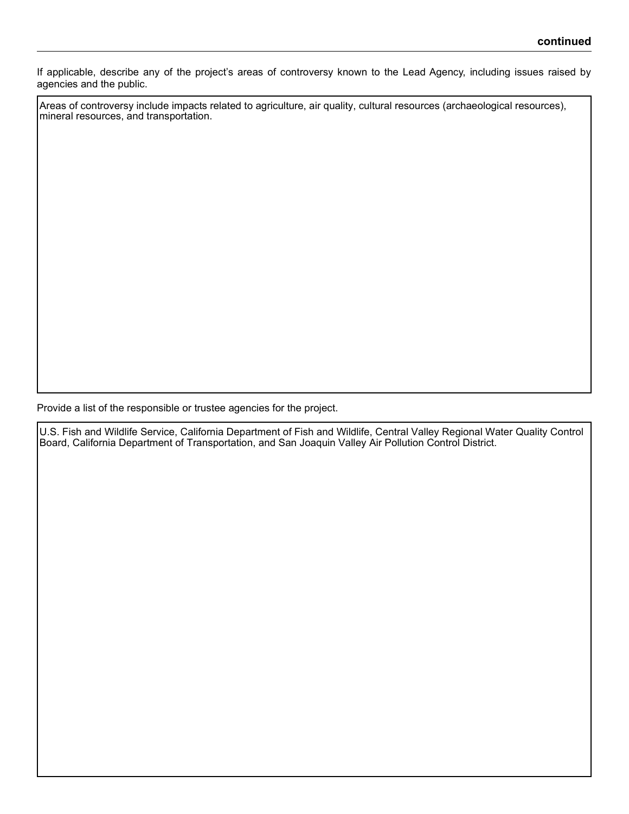If applicable, describe any of the project's areas of controversy known to the Lead Agency, including issues raised by agencies and the public.

Areas of controversy include impacts related to agriculture, air quality, cultural resources (archaeological resources), mineral resources, and transportation.

Provide a list of the responsible or trustee agencies for the project.

U.S. Fish and Wildlife Service, California Department of Fish and Wildlife, Central Valley Regional Water Quality Control Board, California Department of Transportation, and San Joaquin Valley Air Pollution Control District.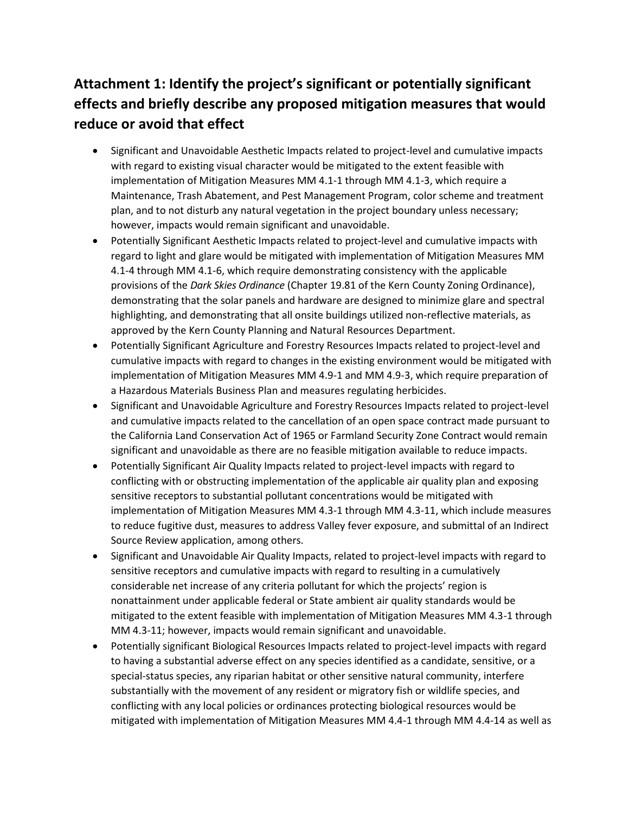## **Attachment 1: Identify the project's significant or potentially significant effects and briefly describe any proposed mitigation measures that would reduce or avoid that effect**

- Significant and Unavoidable Aesthetic Impacts related to project-level and cumulative impacts with regard to existing visual character would be mitigated to the extent feasible with implementation of Mitigation Measures MM 4.1-1 through MM 4.1-3, which require a Maintenance, Trash Abatement, and Pest Management Program, color scheme and treatment plan, and to not disturb any natural vegetation in the project boundary unless necessary; however, impacts would remain significant and unavoidable.
- Potentially Significant Aesthetic Impacts related to project-level and cumulative impacts with regard to light and glare would be mitigated with implementation of Mitigation Measures MM 4.1-4 through MM 4.1-6, which require demonstrating consistency with the applicable provisions of the *Dark Skies Ordinance* (Chapter 19.81 of the Kern County Zoning Ordinance), demonstrating that the solar panels and hardware are designed to minimize glare and spectral highlighting, and demonstrating that all onsite buildings utilized non-reflective materials, as approved by the Kern County Planning and Natural Resources Department.
- Potentially Significant Agriculture and Forestry Resources Impacts related to project-level and cumulative impacts with regard to changes in the existing environment would be mitigated with implementation of Mitigation Measures MM 4.9-1 and MM 4.9-3, which require preparation of a Hazardous Materials Business Plan and measures regulating herbicides.
- Significant and Unavoidable Agriculture and Forestry Resources Impacts related to project-level and cumulative impacts related to the cancellation of an open space contract made pursuant to the California Land Conservation Act of 1965 or Farmland Security Zone Contract would remain significant and unavoidable as there are no feasible mitigation available to reduce impacts.
- Potentially Significant Air Quality Impacts related to project-level impacts with regard to conflicting with or obstructing implementation of the applicable air quality plan and exposing sensitive receptors to substantial pollutant concentrations would be mitigated with implementation of Mitigation Measures MM 4.3-1 through MM 4.3-11, which include measures to reduce fugitive dust, measures to address Valley fever exposure, and submittal of an Indirect Source Review application, among others.
- Significant and Unavoidable Air Quality Impacts, related to project-level impacts with regard to sensitive receptors and cumulative impacts with regard to resulting in a cumulatively considerable net increase of any criteria pollutant for which the projects' region is nonattainment under applicable federal or State ambient air quality standards would be mitigated to the extent feasible with implementation of Mitigation Measures MM 4.3-1 through MM 4.3-11; however, impacts would remain significant and unavoidable.
- Potentially significant Biological Resources Impacts related to project-level impacts with regard to having a substantial adverse effect on any species identified as a candidate, sensitive, or a special-status species, any riparian habitat or other sensitive natural community, interfere substantially with the movement of any resident or migratory fish or wildlife species, and conflicting with any local policies or ordinances protecting biological resources would be mitigated with implementation of Mitigation Measures MM 4.4-1 through MM 4.4-14 as well as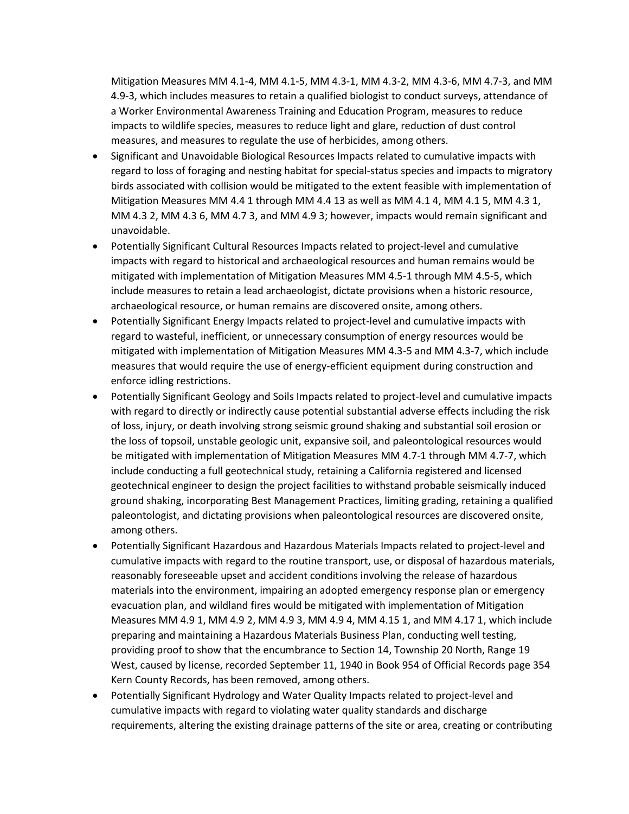Mitigation Measures MM 4.1-4, MM 4.1-5, MM 4.3-1, MM 4.3-2, MM 4.3-6, MM 4.7-3, and MM 4.9-3, which includes measures to retain a qualified biologist to conduct surveys, attendance of a Worker Environmental Awareness Training and Education Program, measures to reduce impacts to wildlife species, measures to reduce light and glare, reduction of dust control measures, and measures to regulate the use of herbicides, among others.

- Significant and Unavoidable Biological Resources Impacts related to cumulative impacts with regard to loss of foraging and nesting habitat for special-status species and impacts to migratory birds associated with collision would be mitigated to the extent feasible with implementation of Mitigation Measures MM 4.4 1 through MM 4.4 13 as well as MM 4.1 4, MM 4.1 5, MM 4.3 1, MM 4.3 2, MM 4.3 6, MM 4.7 3, and MM 4.9 3; however, impacts would remain significant and unavoidable.
- Potentially Significant Cultural Resources Impacts related to project-level and cumulative impacts with regard to historical and archaeological resources and human remains would be mitigated with implementation of Mitigation Measures MM 4.5-1 through MM 4.5-5, which include measures to retain a lead archaeologist, dictate provisions when a historic resource, archaeological resource, or human remains are discovered onsite, among others.
- Potentially Significant Energy Impacts related to project-level and cumulative impacts with regard to wasteful, inefficient, or unnecessary consumption of energy resources would be mitigated with implementation of Mitigation Measures MM 4.3-5 and MM 4.3-7, which include measures that would require the use of energy-efficient equipment during construction and enforce idling restrictions.
- Potentially Significant Geology and Soils Impacts related to project-level and cumulative impacts with regard to directly or indirectly cause potential substantial adverse effects including the risk of loss, injury, or death involving strong seismic ground shaking and substantial soil erosion or the loss of topsoil, unstable geologic unit, expansive soil, and paleontological resources would be mitigated with implementation of Mitigation Measures MM 4.7-1 through MM 4.7-7, which include conducting a full geotechnical study, retaining a California registered and licensed geotechnical engineer to design the project facilities to withstand probable seismically induced ground shaking, incorporating Best Management Practices, limiting grading, retaining a qualified paleontologist, and dictating provisions when paleontological resources are discovered onsite, among others.
- Potentially Significant Hazardous and Hazardous Materials Impacts related to project-level and cumulative impacts with regard to the routine transport, use, or disposal of hazardous materials, reasonably foreseeable upset and accident conditions involving the release of hazardous materials into the environment, impairing an adopted emergency response plan or emergency evacuation plan, and wildland fires would be mitigated with implementation of Mitigation Measures MM 4.9 1, MM 4.9 2, MM 4.9 3, MM 4.9 4, MM 4.15 1, and MM 4.17 1, which include preparing and maintaining a Hazardous Materials Business Plan, conducting well testing, providing proof to show that the encumbrance to Section 14, Township 20 North, Range 19 West, caused by license, recorded September 11, 1940 in Book 954 of Official Records page 354 Kern County Records, has been removed, among others.
- Potentially Significant Hydrology and Water Quality Impacts related to project-level and cumulative impacts with regard to violating water quality standards and discharge requirements, altering the existing drainage patterns of the site or area, creating or contributing